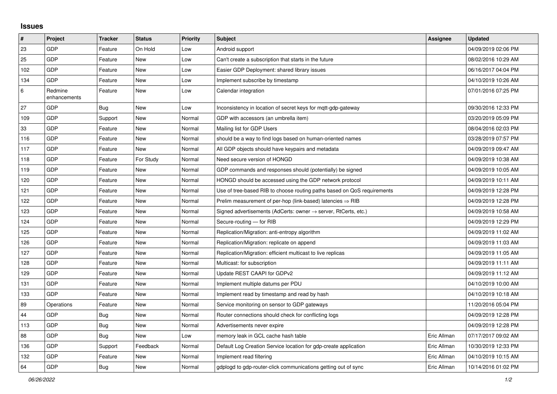## **Issues**

| #   | Project                 | <b>Tracker</b> | <b>Status</b> | <b>Priority</b> | <b>Subject</b>                                                          | <b>Assignee</b> | <b>Updated</b>      |
|-----|-------------------------|----------------|---------------|-----------------|-------------------------------------------------------------------------|-----------------|---------------------|
| 23  | GDP                     | Feature        | On Hold       | Low             | Android support                                                         |                 | 04/09/2019 02:06 PM |
| 25  | GDP                     | Feature        | <b>New</b>    | Low             | Can't create a subscription that starts in the future                   |                 | 08/02/2016 10:29 AM |
| 102 | GDP                     | Feature        | <b>New</b>    | Low             | Easier GDP Deployment: shared library issues                            |                 | 06/16/2017 04:04 PM |
| 134 | GDP                     | Feature        | <b>New</b>    | Low             | Implement subscribe by timestamp                                        |                 | 04/10/2019 10:26 AM |
| 6   | Redmine<br>enhancements | Feature        | <b>New</b>    | Low             | Calendar integration                                                    |                 | 07/01/2016 07:25 PM |
| 27  | GDP                     | Bug            | <b>New</b>    | Low             | Inconsistency in location of secret keys for mgtt-gdp-gateway           |                 | 09/30/2016 12:33 PM |
| 109 | GDP                     | Support        | <b>New</b>    | Normal          | GDP with accessors (an umbrella item)                                   |                 | 03/20/2019 05:09 PM |
| 33  | GDP                     | Feature        | New           | Normal          | Mailing list for GDP Users                                              |                 | 08/04/2016 02:03 PM |
| 116 | GDP                     | Feature        | New           | Normal          | should be a way to find logs based on human-oriented names              |                 | 03/28/2019 07:57 PM |
| 117 | GDP                     | Feature        | <b>New</b>    | Normal          | All GDP objects should have keypairs and metadata                       |                 | 04/09/2019 09:47 AM |
| 118 | GDP                     | Feature        | For Study     | Normal          | Need secure version of HONGD                                            |                 | 04/09/2019 10:38 AM |
| 119 | GDP                     | Feature        | New           | Normal          | GDP commands and responses should (potentially) be signed               |                 | 04/09/2019 10:05 AM |
| 120 | GDP                     | Feature        | New           | Normal          | HONGD should be accessed using the GDP network protocol                 |                 | 04/09/2019 10:11 AM |
| 121 | GDP                     | Feature        | New           | Normal          | Use of tree-based RIB to choose routing paths based on QoS requirements |                 | 04/09/2019 12:28 PM |
| 122 | GDP                     | Feature        | <b>New</b>    | Normal          | Prelim measurement of per-hop (link-based) latencies $\Rightarrow$ RIB  |                 | 04/09/2019 12:28 PM |
| 123 | GDP                     | Feature        | <b>New</b>    | Normal          | Signed advertisements (AdCerts: owner → server, RtCerts, etc.)          |                 | 04/09/2019 10:58 AM |
| 124 | GDP                     | Feature        | New           | Normal          | Secure-routing - for RIB                                                |                 | 04/09/2019 12:29 PM |
| 125 | GDP                     | Feature        | New           | Normal          | Replication/Migration: anti-entropy algorithm                           |                 | 04/09/2019 11:02 AM |
| 126 | GDP                     | Feature        | New           | Normal          | Replication/Migration: replicate on append                              |                 | 04/09/2019 11:03 AM |
| 127 | GDP                     | Feature        | New           | Normal          | Replication/Migration: efficient multicast to live replicas             |                 | 04/09/2019 11:05 AM |
| 128 | GDP                     | Feature        | New           | Normal          | Multicast: for subscription                                             |                 | 04/09/2019 11:11 AM |
| 129 | GDP                     | Feature        | New           | Normal          | Update REST CAAPI for GDPv2                                             |                 | 04/09/2019 11:12 AM |
| 131 | GDP                     | Feature        | New           | Normal          | Implement multiple datums per PDU                                       |                 | 04/10/2019 10:00 AM |
| 133 | GDP                     | Feature        | New           | Normal          | Implement read by timestamp and read by hash                            |                 | 04/10/2019 10:18 AM |
| 89  | Operations              | Feature        | New           | Normal          | Service monitoring on sensor to GDP gateways                            |                 | 11/20/2016 05:04 PM |
| 44  | GDP                     | <b>Bug</b>     | <b>New</b>    | Normal          | Router connections should check for conflicting logs                    |                 | 04/09/2019 12:28 PM |
| 113 | GDP                     | <b>Bug</b>     | New           | Normal          | Advertisements never expire                                             |                 | 04/09/2019 12:28 PM |
| 88  | GDP                     | <b>Bug</b>     | <b>New</b>    | Low             | memory leak in GCL cache hash table                                     | Eric Allman     | 07/17/2017 09:02 AM |
| 136 | GDP                     | Support        | Feedback      | Normal          | Default Log Creation Service location for gdp-create application        | Eric Allman     | 10/30/2019 12:33 PM |
| 132 | GDP                     | Feature        | <b>New</b>    | Normal          | Implement read filtering                                                | Eric Allman     | 04/10/2019 10:15 AM |
| 64  | GDP                     | <b>Bug</b>     | <b>New</b>    | Normal          | gdplogd to gdp-router-click communications getting out of sync          | Eric Allman     | 10/14/2016 01:02 PM |